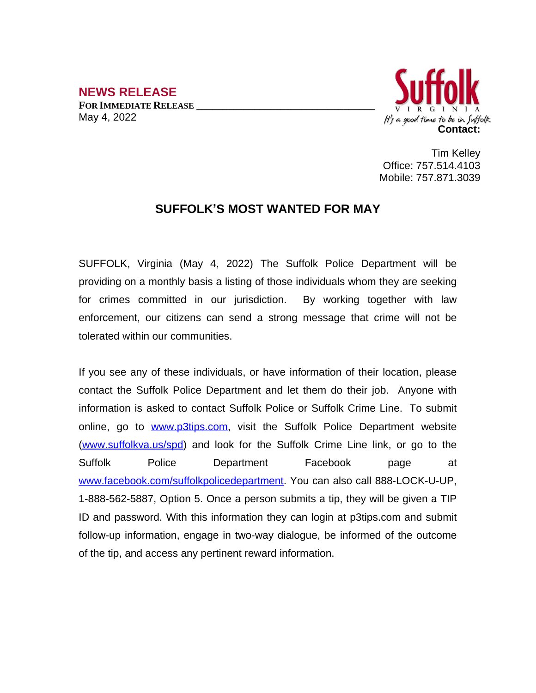**NEWS RELEASE FOR IMMEDIATE RELEASE \_\_\_\_\_\_\_\_\_\_\_\_\_\_\_\_\_\_\_\_\_\_\_\_\_\_\_\_\_\_\_\_\_\_** May 4, 2022



Tim Kelley Office: 757.514.4103 Mobile: 757.871.3039

## **SUFFOLK'S MOST WANTED FOR MAY**

SUFFOLK, Virginia (May 4, 2022) The Suffolk Police Department will be providing on a monthly basis a listing of those individuals whom they are seeking for crimes committed in our jurisdiction. By working together with law enforcement, our citizens can send a strong message that crime will not be tolerated within our communities.

If you see any of these individuals, or have information of their location, please contact the Suffolk Police Department and let them do their job. Anyone with information is asked to contact Suffolk Police or Suffolk Crime Line. To submit online, go to [www.p3tips.com](http://www.p3tips.com), visit the Suffolk Police Department website ([www.suffolkva.us/spd](http://www.suffolkva.us/spd)) and look for the Suffolk Crime Line link, or go to the Suffolk Police Department Facebook page at [www.facebook.com/suffolkpolicedepartment](http://www.facebook.com/suffolkpolicedepartment). You can also call 888-LOCK-U-UP, 1-888-562-5887, Option 5. Once a person submits a tip, they will be given a TIP ID and password. With this information they can login at p3tips.com and submit follow-up information, engage in two-way dialogue, be informed of the outcome of the tip, and access any pertinent reward information.